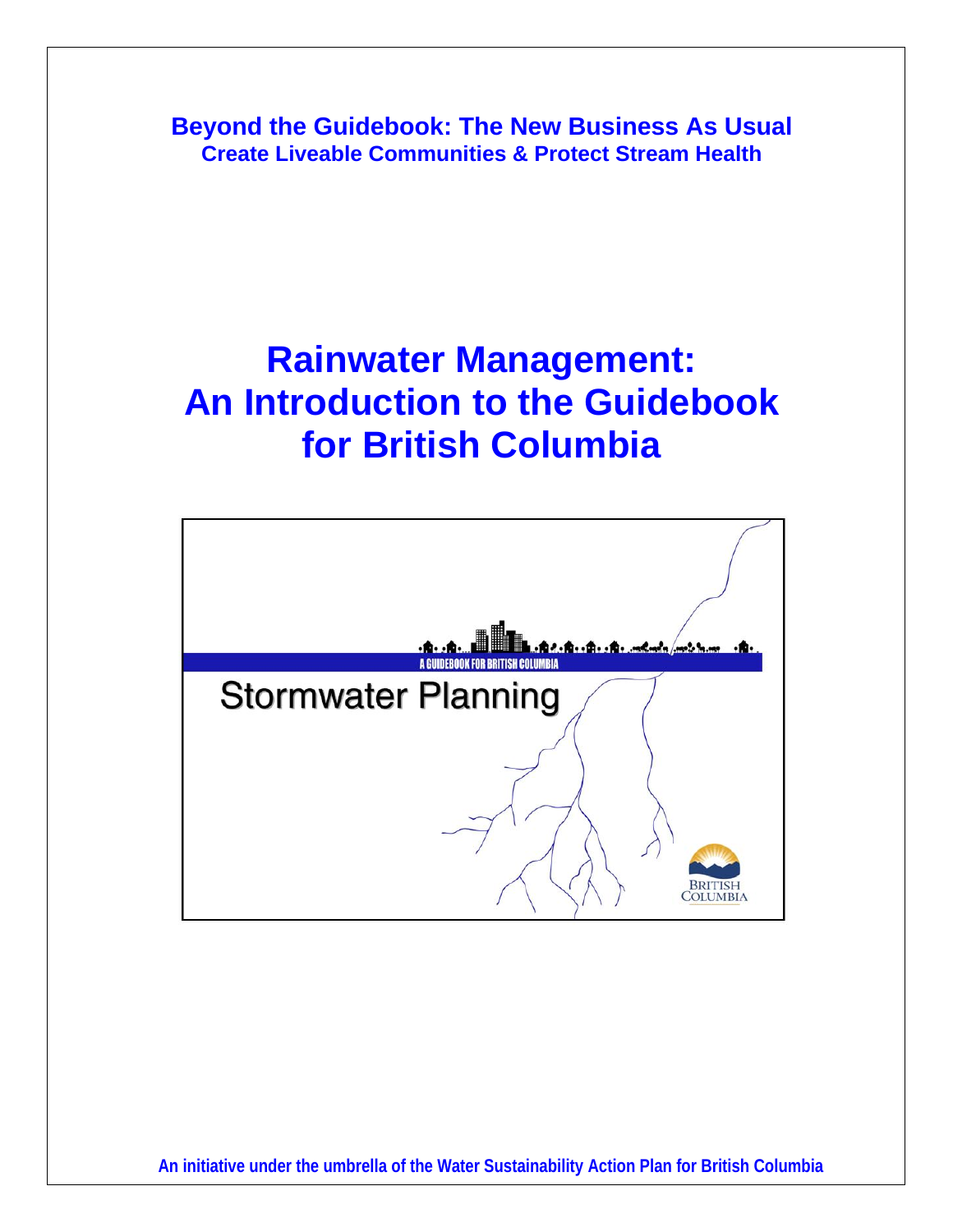**Beyond the Guidebook: The New Business As Usual Create Liveable Communities & Protect Stream Health** 

# **Rainwater Management: An Introduction to the Guidebook for British Columbia**

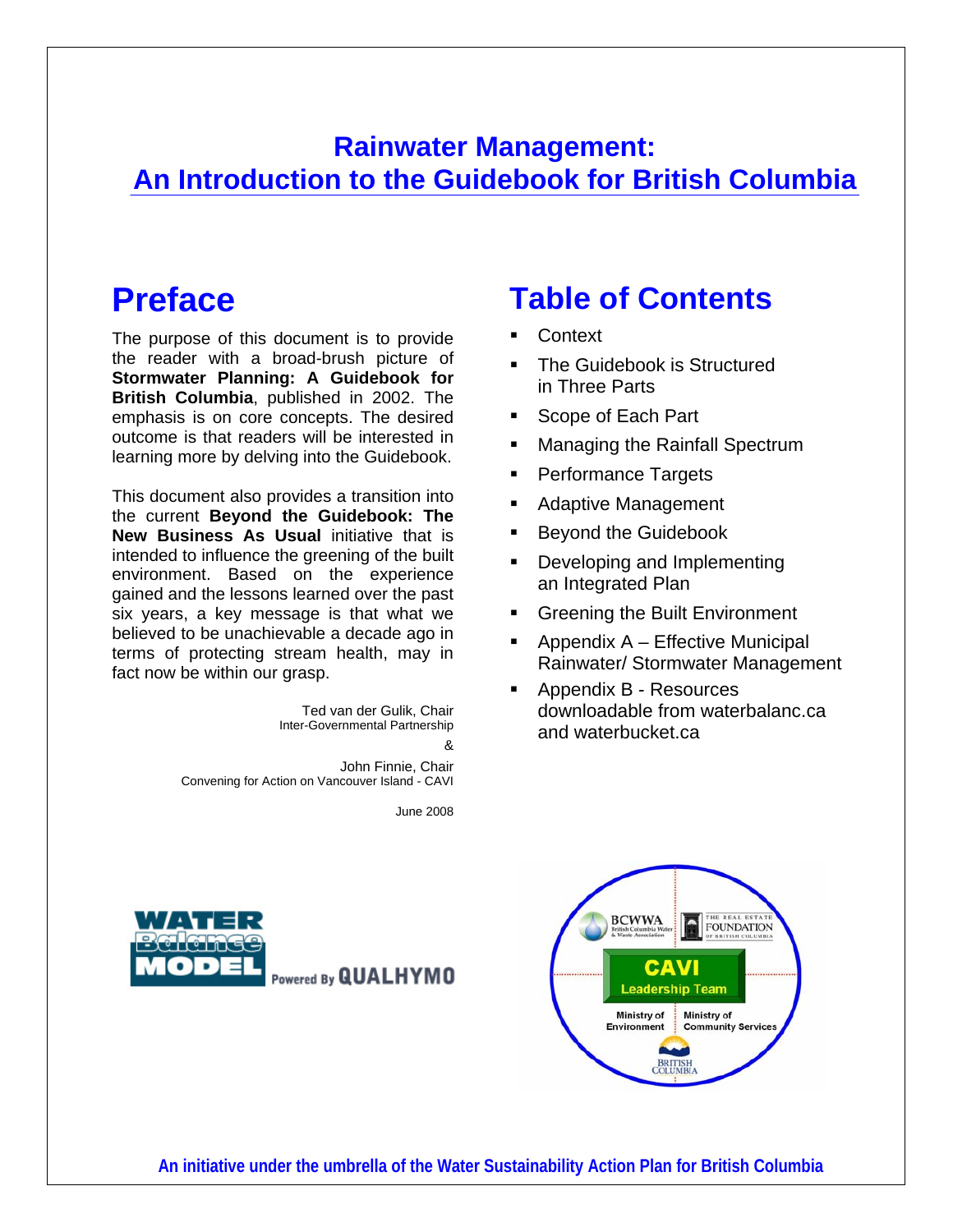## **Rainwater Management: An Introduction to the Guidebook for British Columbia**

## **Preface**

The purpose of this document is to provide the reader with a broad-brush picture of **Stormwater Planning: A Guidebook for British Columbia**, published in 2002. The emphasis is on core concepts. The desired outcome is that readers will be interested in learning more by delving into the Guidebook.

This document also provides a transition into the current **Beyond the Guidebook: The New Business As Usual** initiative that is intended to influence the greening of the built environment. Based on the experience gained and the lessons learned over the past six years, a key message is that what we believed to be unachievable a decade ago in terms of protecting stream health, may in fact now be within our grasp.

> Ted van der Gulik, Chair Inter-Governmental Partnership &

John Finnie, Chair Convening for Action on Vancouver Island - CAVI

June 2008

## **Table of Contents**

- **Context**
- The Guidebook is Structured in Three Parts
- Scope of Each Part
- Managing the Rainfall Spectrum
- **Performance Targets**
- Adaptive Management
- Beyond the Guidebook
- Developing and Implementing an Integrated Plan
- **Greening the Built Environment**
- Appendix A Effective Municipal Rainwater/ Stormwater Management
- Appendix B Resources downloadable from waterbalanc.ca and waterbucket.ca



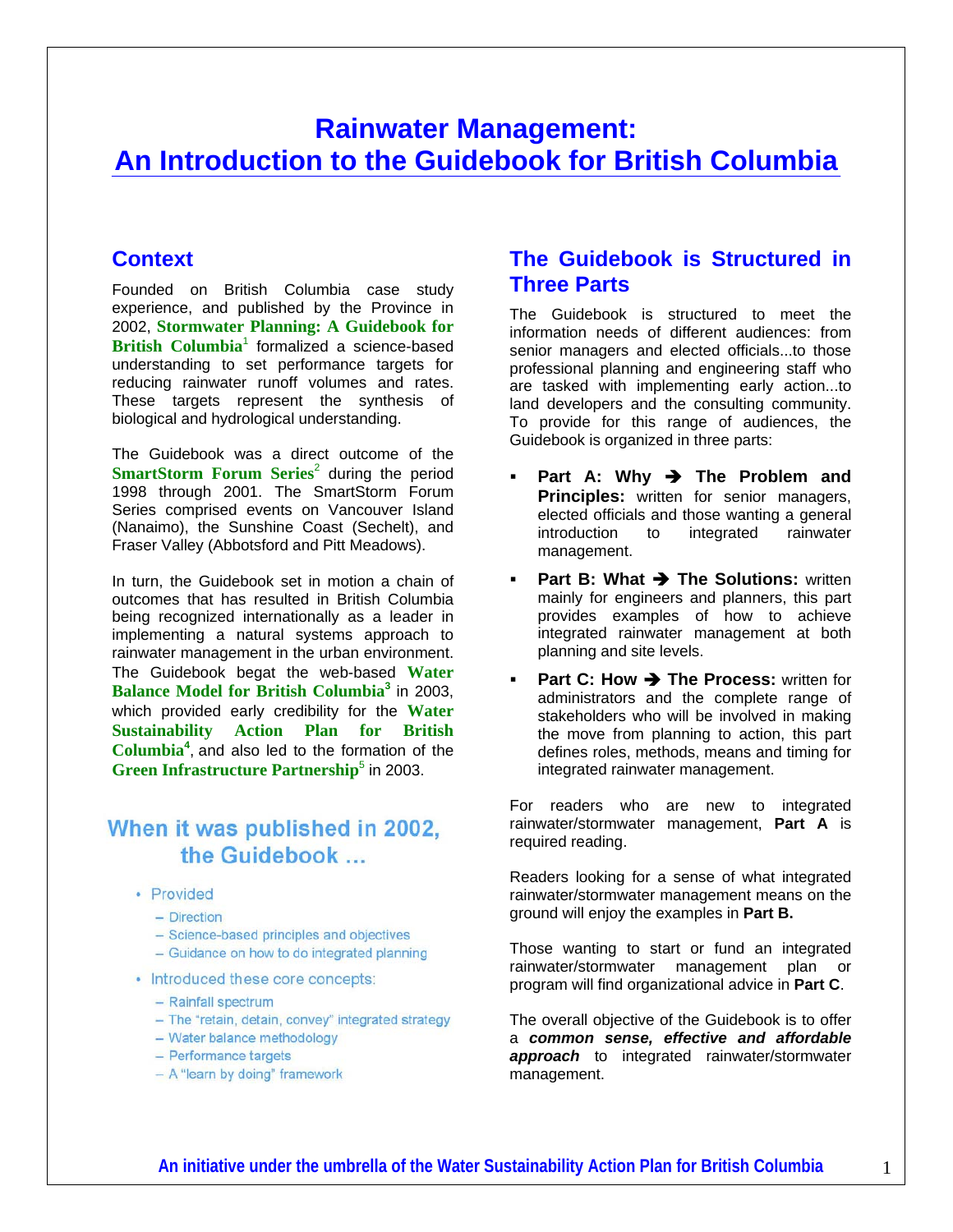### **Rainwater Management: An Introduction to the Guidebook for British Columbia**

#### **Context**

Founded on British Columbia case study experience, and published by the Province in 2002, **Stormwater Planning: A Guidebook for**  British Columbia<sup>1</sup> formalized a science-based understanding to set performance targets for reducing rainwater runoff volumes and rates. These targets represent the synthesis of biological and hydrological understanding.

The Guidebook was a direct outcome of the **SmartStorm Forum Series<sup>2</sup> during the period** 1998 through 2001. The SmartStorm Forum Series comprised events on Vancouver Island (Nanaimo), the Sunshine Coast (Sechelt), and Fraser Valley (Abbotsford and Pitt Meadows).

In turn, the Guidebook set in motion a chain of outcomes that has resulted in British Columbia being recognized internationally as a leader in implementing a natural systems approach to rainwater management in the urban environment. The Guidebook begat the web-based **Water Balance Model for British Columbia<sup>3</sup>** in 2003, which provided early credibility for the **Water Sustainability Action Plan for British Columbia<sup>4</sup>** , and also led to the formation of the **Green Infrastructure Partnership<sup>5</sup> in 2003.** 

#### When it was published in 2002, the Guidebook

- Provided
	- Direction
	- Science-based principles and objectives
	- Guidance on how to do integrated planning
- Introduced these core concepts:
	- Rainfall spectrum
	- The "retain, detain, convey" integrated strategy
	- Water balance methodology
	- Performance targets
	- A "learn by doing" framework

#### **The Guidebook is Structured in Three Parts**

The Guidebook is structured to meet the information needs of different audiences: from senior managers and elected officials...to those professional planning and engineering staff who are tasked with implementing early action...to land developers and the consulting community. To provide for this range of audiences, the Guidebook is organized in three parts:

- **Part A: Why → The Problem and Principles:** written for senior managers, elected officials and those wanting a general introduction to integrated rainwater management.
- **Part B: What**  $\rightarrow$  **The Solutions:** written mainly for engineers and planners, this part provides examples of how to achieve integrated rainwater management at both planning and site levels.
- **Part C: How → The Process:** written for administrators and the complete range of stakeholders who will be involved in making the move from planning to action, this part defines roles, methods, means and timing for integrated rainwater management.

For readers who are new to integrated rainwater/stormwater management, **Part A** is required reading.

Readers looking for a sense of what integrated rainwater/stormwater management means on the ground will enjoy the examples in **Part B.** 

Those wanting to start or fund an integrated rainwater/stormwater management plan or program will find organizational advice in **Part C**.

The overall objective of the Guidebook is to offer a *common sense, effective and affordable approach* to integrated rainwater/stormwater management.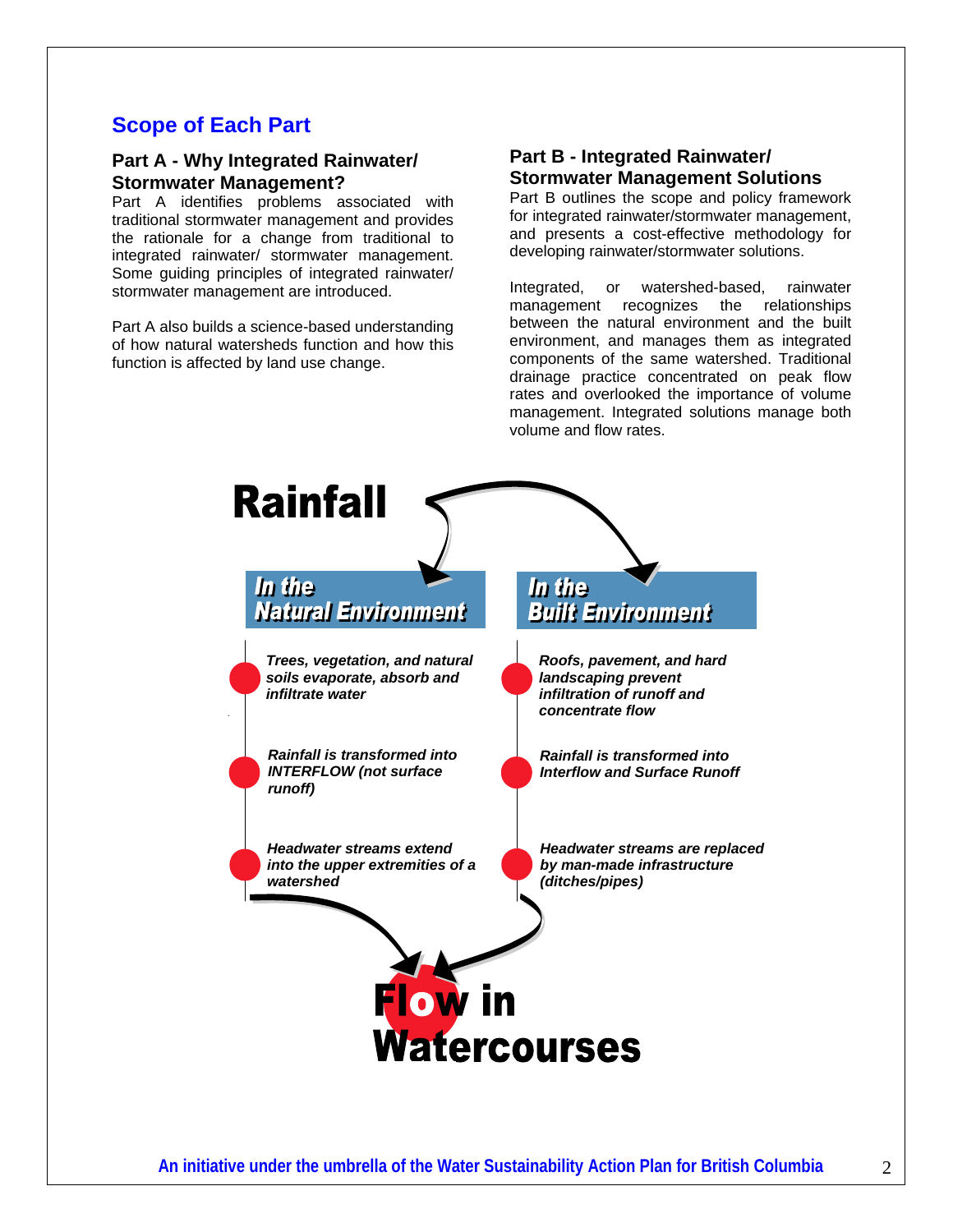#### **Scope of Each Part**

#### **Part A - Why Integrated Rainwater/ Stormwater Management?**

Part A identifies problems associated with traditional stormwater management and provides the rationale for a change from traditional to integrated rainwater/ stormwater management. Some guiding principles of integrated rainwater/ stormwater management are introduced.

Part A also builds a science-based understanding of how natural watersheds function and how this function is affected by land use change.

### **Part B - Integrated Rainwater/ Stormwater Management Solutions**<br>Part B outlines the scope and policy framework

for integrated rainwater/stormwater management, and presents a cost-effective methodology for developing rainwater/stormwater solutions.

Integrated, or watershed-based, rainwater management recognizes the relationships between the natural environment and the built environment, and manages them as integrated components of the same watershed. Traditional drainage practice concentrated on peak flow rates and overlooked the importance of volume management. Integrated solutions manage both volume and flow rates.

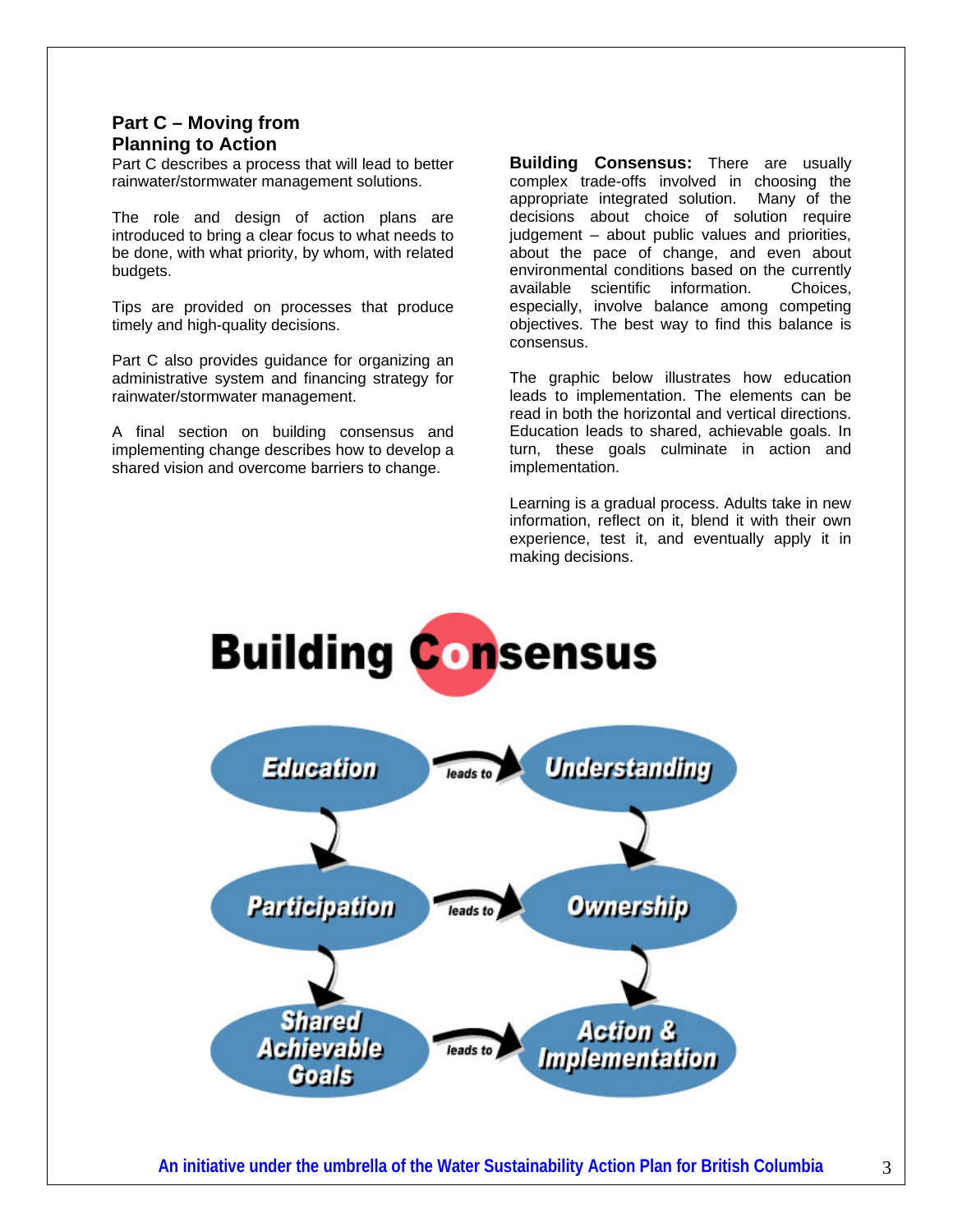#### **Part C – Moving from Planning to Action**

Part C describes a process that will lead to better rainwater/stormwater management solutions.

The role and design of action plans are introduced to bring a clear focus to what needs to be done, with what priority, by whom, with related budgets.

Tips are provided on processes that produce timely and high-quality decisions.

Part C also provides guidance for organizing an administrative system and financing strategy for rainwater/stormwater management.

A final section on building consensus and implementing change describes how to develop a shared vision and overcome barriers to change.

**Building Consensus:** There are usually complex trade-offs involved in choosing the appropriate integrated solution. Many of the decisions about choice of solution require judgement – about public values and priorities, about the pace of change, and even about environmental conditions based on the currently available scientific information. Choices, especially, involve balance among competing objectives. The best way to find this balance is consensus.

The graphic below illustrates how education leads to implementation. The elements can be read in both the horizontal and vertical directions. Education leads to shared, achievable goals. In turn, these goals culminate in action and implementation.

Learning is a gradual process. Adults take in new information, reflect on it, blend it with their own experience, test it, and eventually apply it in making decisions.

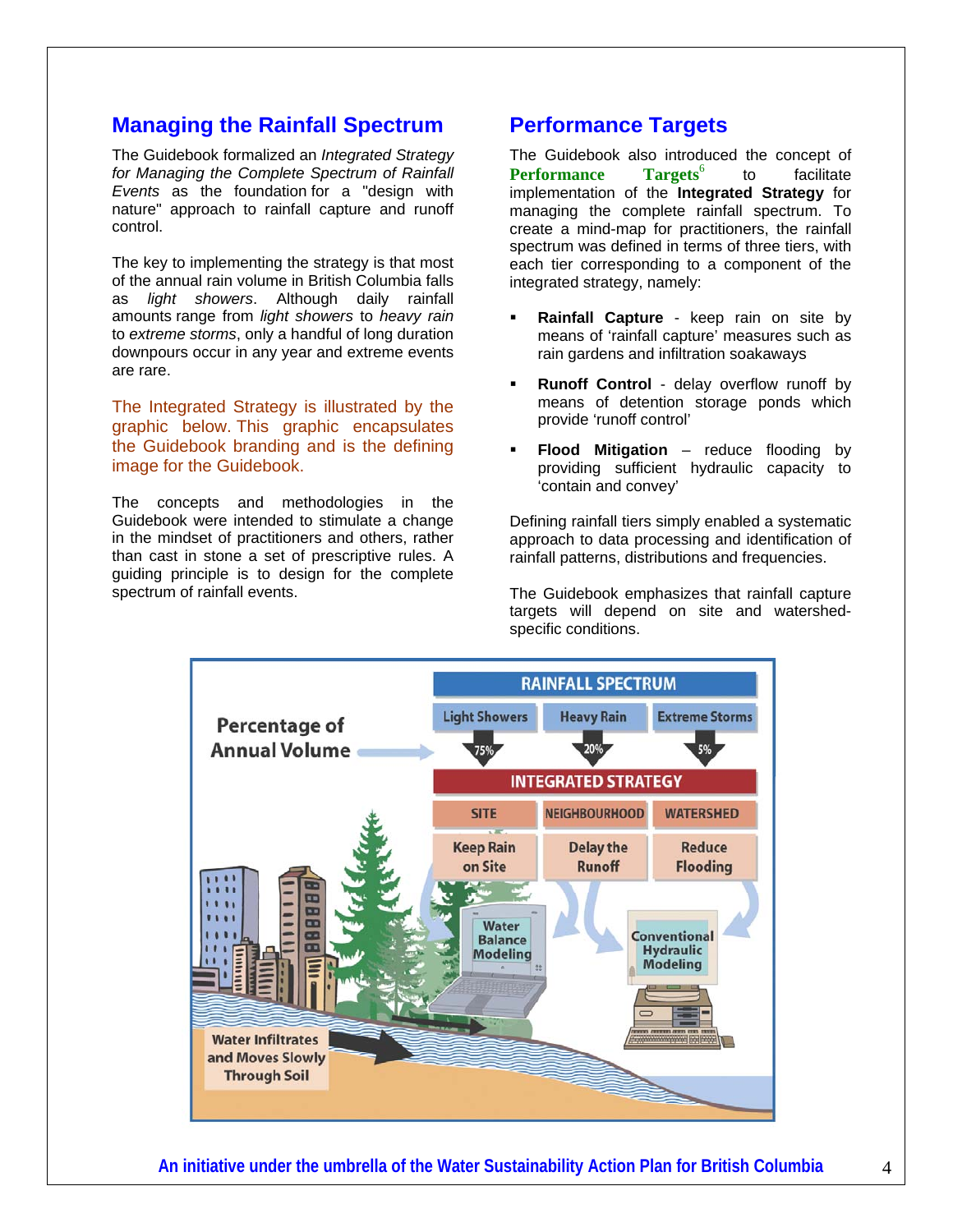#### **Managing the Rainfall Spectrum**

The Guidebook formalized an *Integrated Strategy for Managing the Complete Spectrum of Rainfall Events* as the foundation for a "design with nature" approach to rainfall capture and runoff control.

The key to implementing the strategy is that most of the annual rain volume in British Columbia falls as *light showers*. Although daily rainfall amounts range from *light showers* to *heavy rain* to *extreme storms*, only a handful of long duration downpours occur in any year and extreme events are rare.

The Integrated Strategy is illustrated by the graphic below. This graphic encapsulates the Guidebook branding and is the defining image for the Guidebook.

The concepts and methodologies in the Guidebook were intended to stimulate a change in the mindset of practitioners and others, rather than cast in stone a set of prescriptive rules. A guiding principle is to design for the complete spectrum of rainfall events.

#### **Performance Targets**

The Guidebook also introduced the concept of Performance Targets<sup>6</sup> to facilitate implementation of the **Integrated Strategy** for managing the complete rainfall spectrum. To create a mind-map for practitioners, the rainfall spectrum was defined in terms of three tiers, with each tier corresponding to a component of the integrated strategy, namely:

- **Rainfall Capture** keep rain on site by means of 'rainfall capture' measures such as rain gardens and infiltration soakaways
- **Runoff Control** delay overflow runoff by means of detention storage ponds which provide 'runoff control'
- **Flood Mitigation** reduce flooding by providing sufficient hydraulic capacity to 'contain and convey'

Defining rainfall tiers simply enabled a systematic approach to data processing and identification of rainfall patterns, distributions and frequencies.

The Guidebook emphasizes that rainfall capture targets will depend on site and watershedspecific conditions.

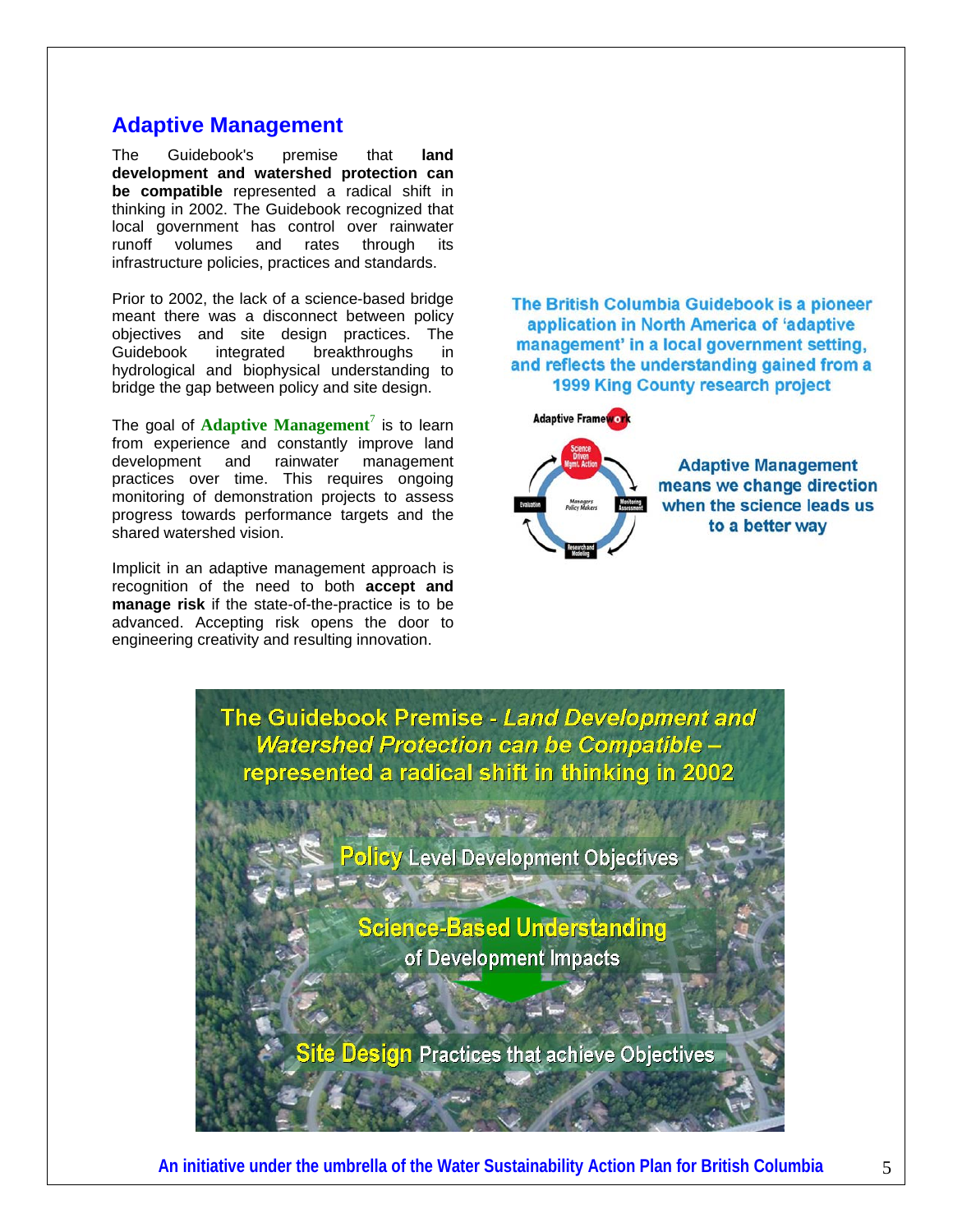#### **Adaptive Management**

The Guidebook's premise that **land development and watershed protection can be compatible** represented a radical shift in thinking in 2002. The Guidebook recognized that local government has control over rainwater runoff volumes and rates through its infrastructure policies, practices and standards.

Prior to 2002, the lack of a science-based bridge meant there was a disconnect between policy objectives and site design practices. The Guidebook integrated breakthroughs in hydrological and biophysical understanding to bridge the gap between policy and site design.

The goal of **Adaptive Management**<sup>7</sup> is to learn from experience and constantly improve land development and rainwater management practices over time. This requires ongoing monitoring of demonstration projects to assess progress towards performance targets and the shared watershed vision.

Implicit in an adaptive management approach is recognition of the need to both **accept and manage risk** if the state-of-the-practice is to be advanced. Accepting risk opens the door to engineering creativity and resulting innovation.

The British Columbia Guidebook is a pioneer application in North America of 'adaptive management' in a local government setting. and reflects the understanding gained from a **1999 King County research project** 



**Adaptive Management** means we change direction when the science leads us to a better way

The Guidebook Premise - Land Development and **Watershed Protection can be Compatible** represented a radical shift in thinking in 2002

Policy Level Development Objectives

**Science-Based Understanding** of Development Impacts

Site Design Practices that achieve Objectives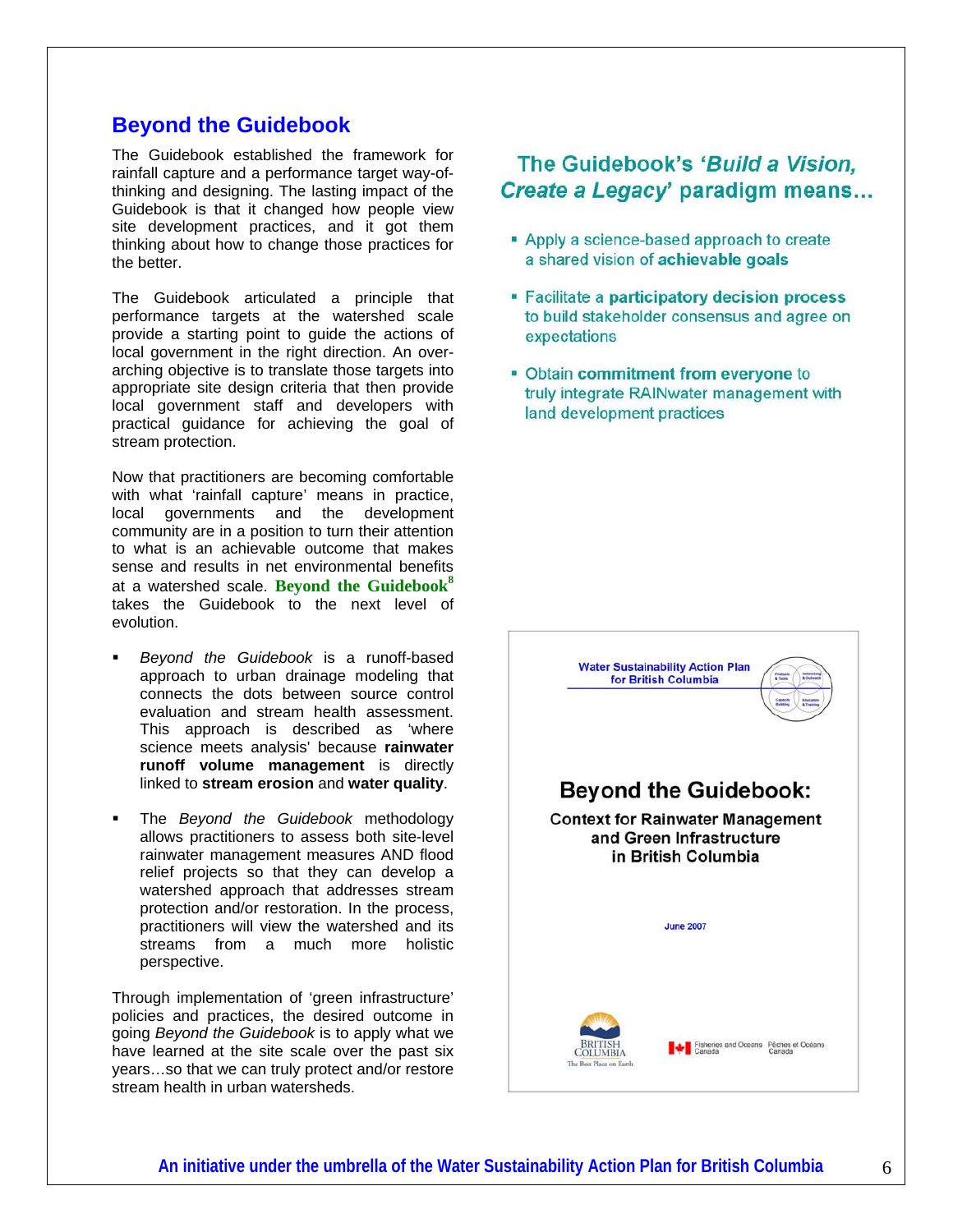#### **Beyond the Guidebook**

The Guidebook established the framework for rainfall capture and a performance target way-ofthinking and designing. The lasting impact of the Guidebook is that it changed how people view site development practices, and it got them thinking about how to change those practices for the better.

The Guidebook articulated a principle that performance targets at the watershed scale provide a starting point to guide the actions of local government in the right direction. An overarching objective is to translate those targets into appropriate site design criteria that then provide local government staff and developers with practical guidance for achieving the goal of stream protection.

Now that practitioners are becoming comfortable with what 'rainfall capture' means in practice, local governments and the development community are in a position to turn their attention to what is an achievable outcome that makes sense and results in net environmental benefits at a watershed scale. **Beyond the Guidebook<sup>8</sup>** takes the Guidebook to the next level of evolution.

- *Beyond the Guidebook* is a runoff-based approach to urban drainage modeling that connects the dots between source control evaluation and stream health assessment. This approach is described as 'where science meets analysis' because **rainwater runoff volume management** is directly linked to **stream erosion** and **water quality**.
- The *Beyond the Guidebook* methodology allows practitioners to assess both site-level rainwater management measures AND flood relief projects so that they can develop a watershed approach that addresses stream protection and/or restoration. In the process, practitioners will view the watershed and its streams from a much more holistic perspective.

Through implementation of 'green infrastructure' policies and practices, the desired outcome in going *Beyond the Guidebook* is to apply what we have learned at the site scale over the past six years…so that we can truly protect and/or restore stream health in urban watersheds.

#### The Guidebook's 'Build a Vision, Create a Legacy' paradigm means...

- Apply a science-based approach to create a shared vision of achievable goals
- " Facilitate a participatory decision process to build stakeholder consensus and agree on expectations
- Obtain commitment from everyone to truly integrate RAINwater management with land development practices

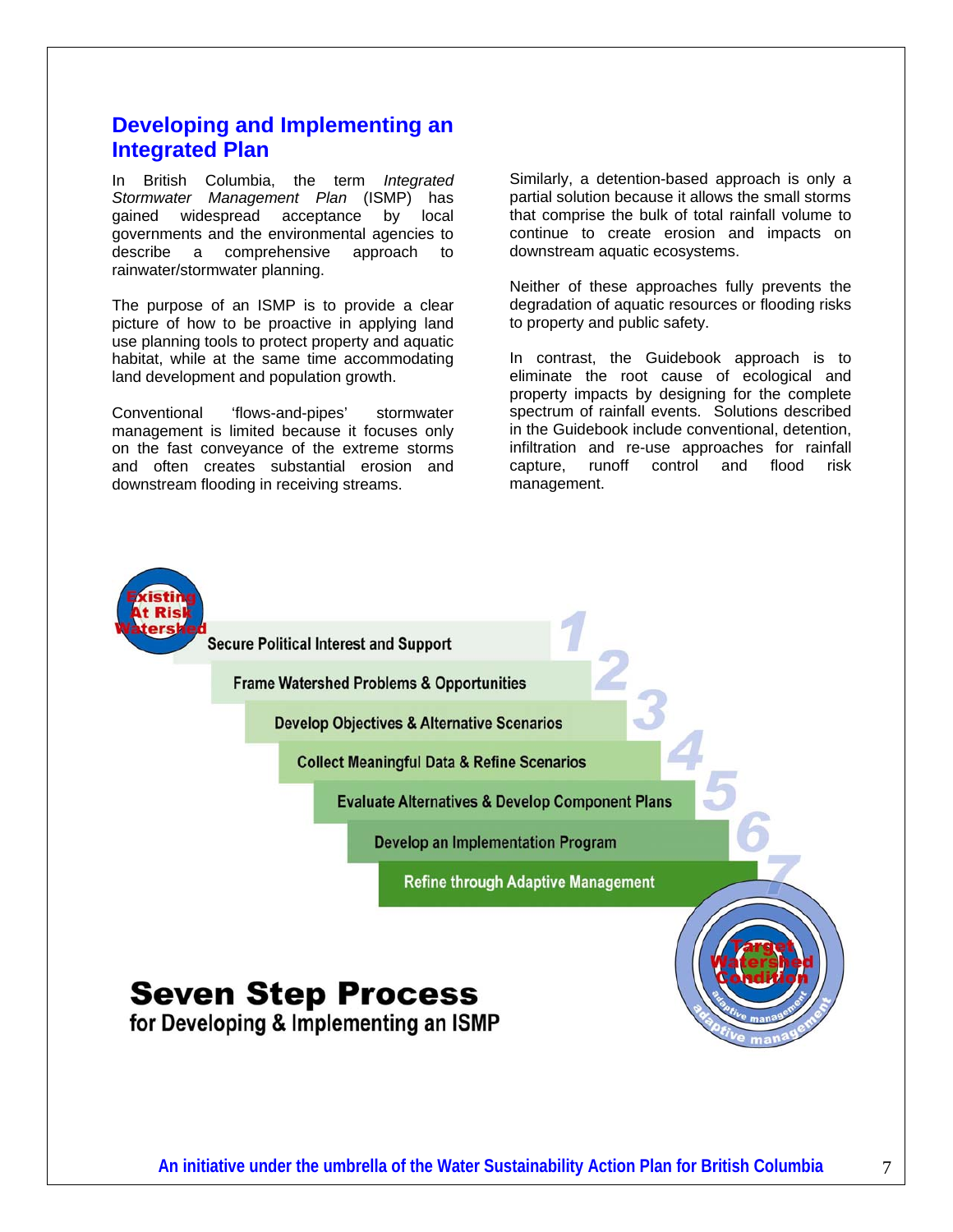#### **Developing and Implementing an Integrated Plan**

In British Columbia, the term *Integrated Stormwater Management Plan* (ISMP) has gained widespread acceptance by local governments and the environmental agencies to describe a comprehensive approach to rainwater/stormwater planning.

The purpose of an ISMP is to provide a clear picture of how to be proactive in applying land use planning tools to protect property and aquatic habitat, while at the same time accommodating land development and population growth.

Conventional 'flows-and-pipes' stormwater management is limited because it focuses only on the fast conveyance of the extreme storms and often creates substantial erosion and downstream flooding in receiving streams.

Similarly, a detention-based approach is only a partial solution because it allows the small storms that comprise the bulk of total rainfall volume to continue to create erosion and impacts on downstream aquatic ecosystems.

Neither of these approaches fully prevents the degradation of aquatic resources or flooding risks to property and public safety.

In contrast, the Guidebook approach is to eliminate the root cause of ecological and property impacts by designing for the complete spectrum of rainfall events. Solutions described in the Guidebook include conventional, detention, infiltration and re-use approaches for rainfall capture, runoff control and flood risk management.

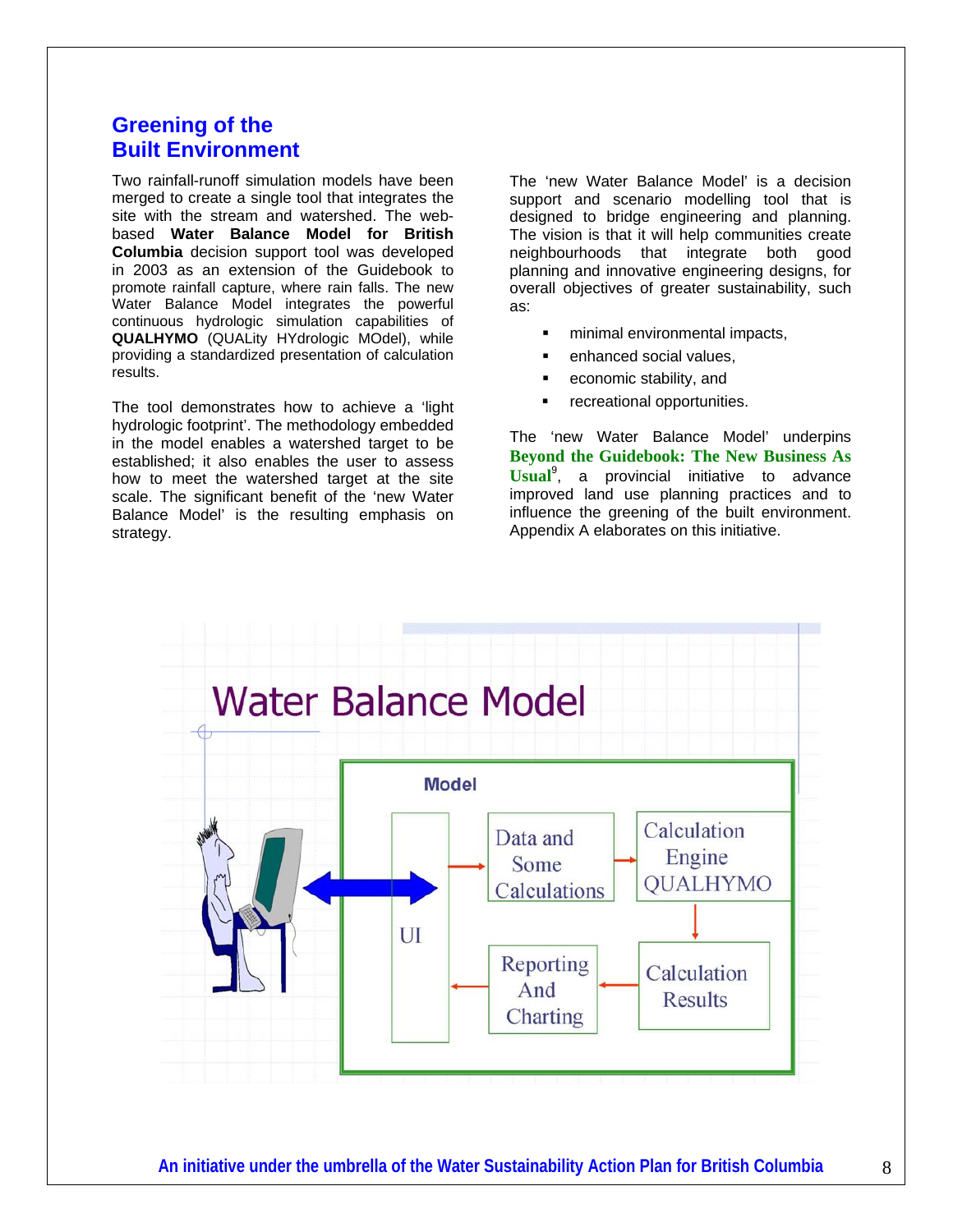#### **Greening of the Built Environment**

Two rainfall-runoff simulation models have been merged to create a single tool that integrates the site with the stream and watershed. The webbased **Water Balance Model for British Columbia** decision support tool was developed in 2003 as an extension of the Guidebook to promote rainfall capture, where rain falls. The new Water Balance Model integrates the powerful continuous hydrologic simulation capabilities of **QUALHYMO** (QUALity HYdrologic MOdel), while providing a standardized presentation of calculation results.

The tool demonstrates how to achieve a 'light hydrologic footprint'. The methodology embedded in the model enables a watershed target to be established; it also enables the user to assess how to meet the watershed target at the site scale. The significant benefit of the 'new Water Balance Model' is the resulting emphasis on strategy.

The 'new Water Balance Model' is a decision support and scenario modelling tool that is designed to bridge engineering and planning. The vision is that it will help communities create neighbourhoods that integrate both good planning and innovative engineering designs, for overall objectives of greater sustainability, such as:

- minimal environmental impacts,
- **enhanced social values,**
- economic stability, and
- recreational opportunities.

The 'new Water Balance Model' underpins **Beyond the Guidebook: The New Business As Usual**<sup>9</sup> , a provincial initiative to advance improved land use planning practices and to influence the greening of the built environment. Appendix A elaborates on this initiative.

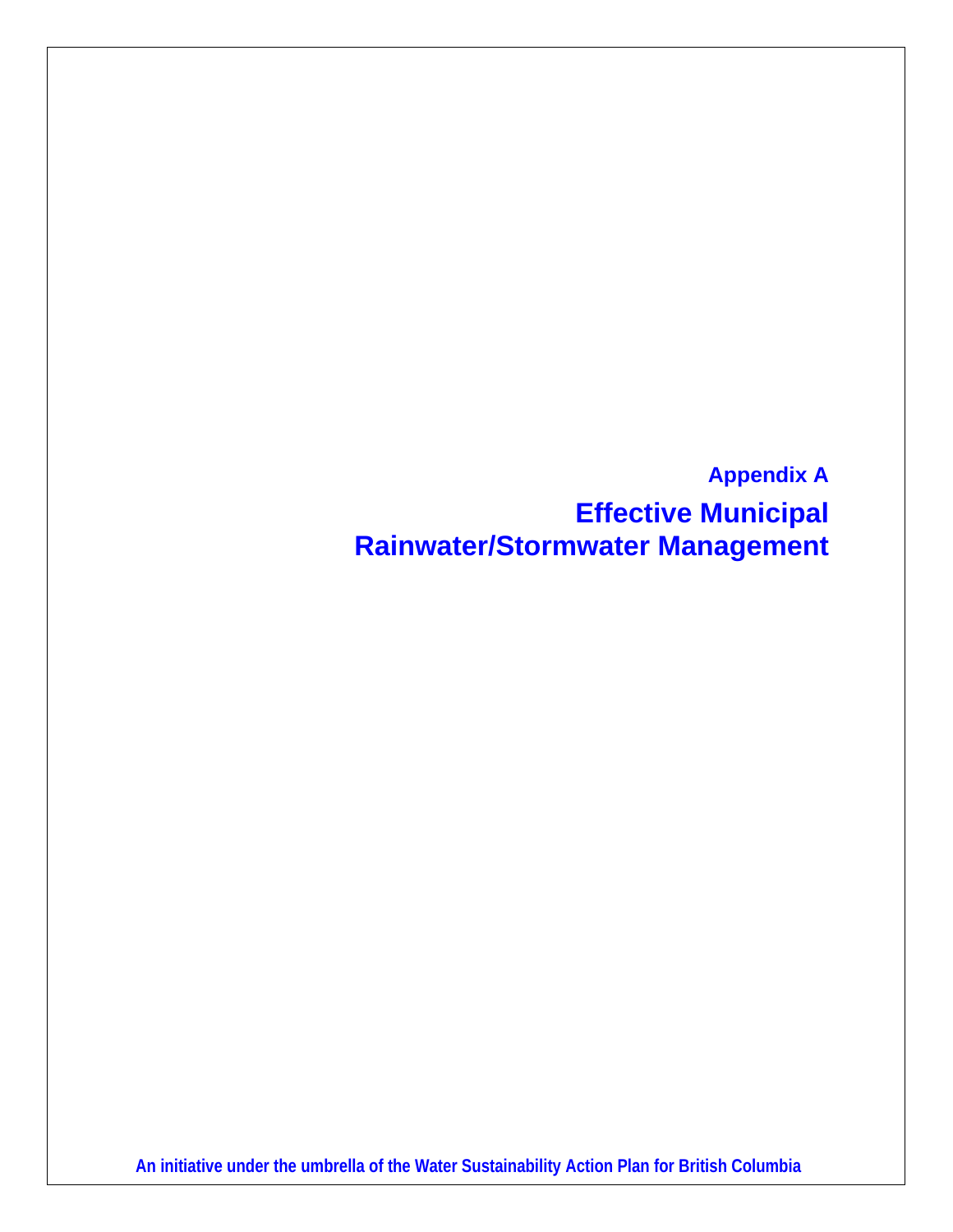**Appendix A Effective Municipal Rainwater/Stormwater Management**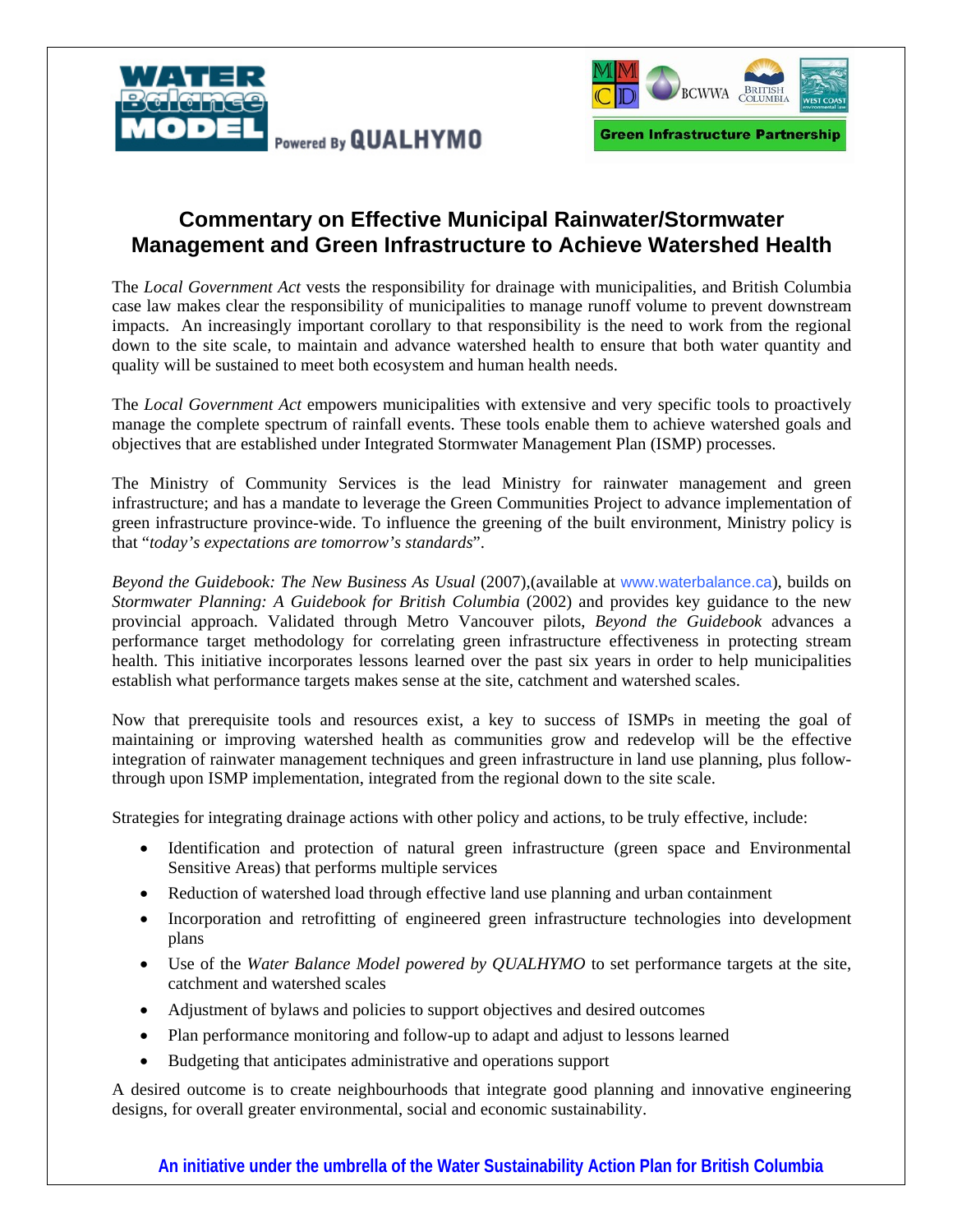



#### **Commentary on Effective Municipal Rainwater/Stormwater Management and Green Infrastructure to Achieve Watershed Health**

The *Local Government Act* vests the responsibility for drainage with municipalities, and British Columbia case law makes clear the responsibility of municipalities to manage runoff volume to prevent downstream impacts. An increasingly important corollary to that responsibility is the need to work from the regional down to the site scale, to maintain and advance watershed health to ensure that both water quantity and quality will be sustained to meet both ecosystem and human health needs.

The *Local Government Act* empowers municipalities with extensive and very specific tools to proactively manage the complete spectrum of rainfall events. These tools enable them to achieve watershed goals and objectives that are established under Integrated Stormwater Management Plan (ISMP) processes.

The Ministry of Community Services is the lead Ministry for rainwater management and green infrastructure; and has a mandate to leverage the Green Communities Project to advance implementation of green infrastructure province-wide. To influence the greening of the built environment, Ministry policy is that "*today's expectations are tomorrow's standards*".

*Beyond the Guidebook: The New Business As Usual* (2007),(available at www.waterbalance.ca), builds on *Stormwater Planning: A Guidebook for British Columbia* (2002) and provides key guidance to the new provincial approach. Validated through Metro Vancouver pilots, *Beyond the Guidebook* advances a performance target methodology for correlating green infrastructure effectiveness in protecting stream health. This initiative incorporates lessons learned over the past six years in order to help municipalities establish what performance targets makes sense at the site, catchment and watershed scales.

Now that prerequisite tools and resources exist, a key to success of ISMPs in meeting the goal of maintaining or improving watershed health as communities grow and redevelop will be the effective integration of rainwater management techniques and green infrastructure in land use planning, plus followthrough upon ISMP implementation, integrated from the regional down to the site scale.

Strategies for integrating drainage actions with other policy and actions, to be truly effective, include:

- Identification and protection of natural green infrastructure (green space and Environmental Sensitive Areas) that performs multiple services
- Reduction of watershed load through effective land use planning and urban containment
- Incorporation and retrofitting of engineered green infrastructure technologies into development plans
- Use of the *Water Balance Model powered by QUALHYMO* to set performance targets at the site, catchment and watershed scales
- Adjustment of bylaws and policies to support objectives and desired outcomes
- Plan performance monitoring and follow-up to adapt and adjust to lessons learned
- Budgeting that anticipates administrative and operations support

A desired outcome is to create neighbourhoods that integrate good planning and innovative engineering designs, for overall greater environmental, social and economic sustainability.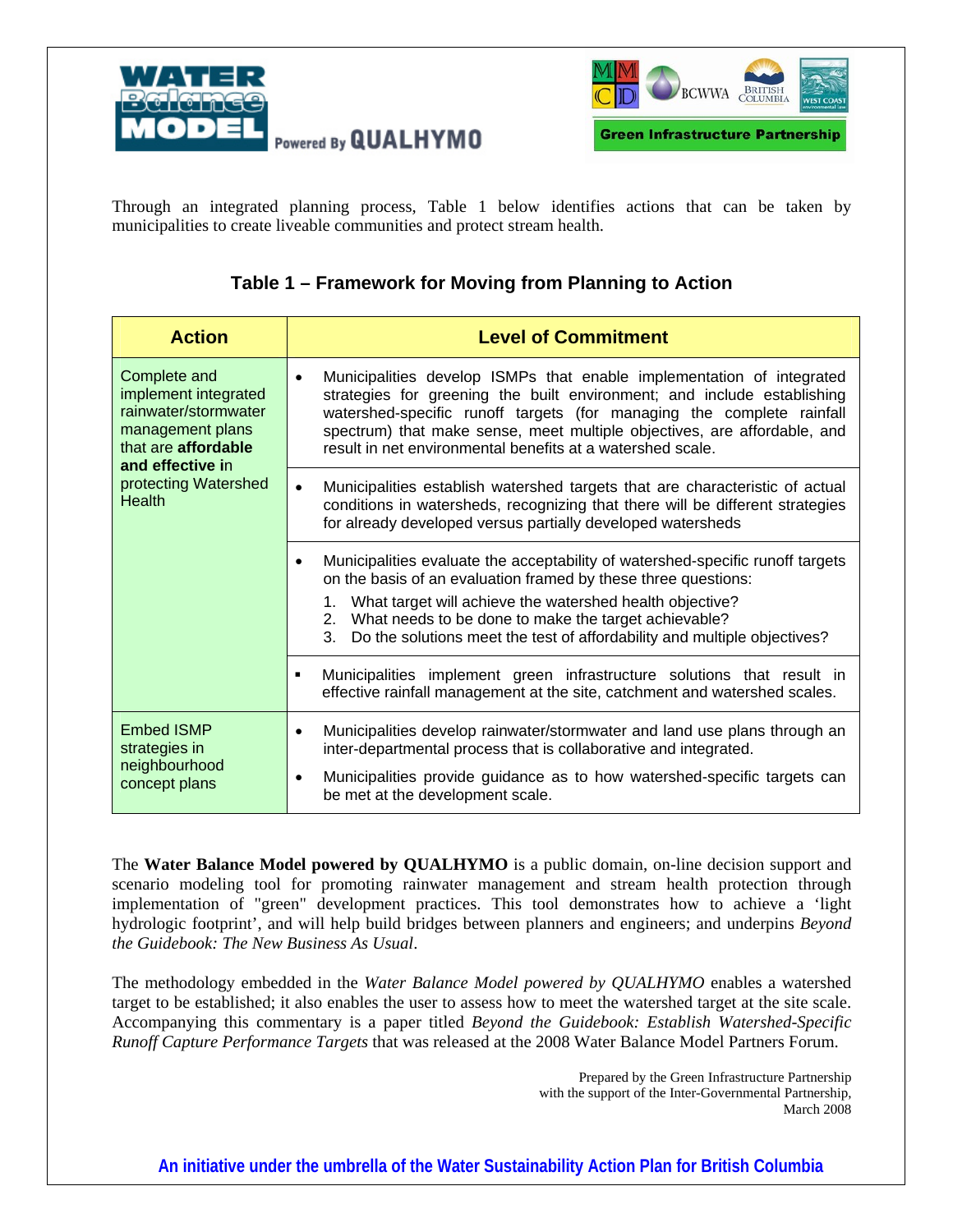



Through an integrated planning process, Table 1 below identifies actions that can be taken by municipalities to create liveable communities and protect stream health.

#### **Table 1 – Framework for Moving from Planning to Action**

| <b>Action</b>                                                                                                                                                        | <b>Level of Commitment</b>                                                                                                                                                                                                                                                                                                                                          |
|----------------------------------------------------------------------------------------------------------------------------------------------------------------------|---------------------------------------------------------------------------------------------------------------------------------------------------------------------------------------------------------------------------------------------------------------------------------------------------------------------------------------------------------------------|
| Complete and<br>implement integrated<br>rainwater/stormwater<br>management plans<br>that are affordable<br>and effective in<br>protecting Watershed<br><b>Health</b> | Municipalities develop ISMPs that enable implementation of integrated<br>strategies for greening the built environment; and include establishing<br>watershed-specific runoff targets (for managing the complete rainfall<br>spectrum) that make sense, meet multiple objectives, are affordable, and<br>result in net environmental benefits at a watershed scale. |
|                                                                                                                                                                      | Municipalities establish watershed targets that are characteristic of actual<br>conditions in watersheds, recognizing that there will be different strategies<br>for already developed versus partially developed watersheds                                                                                                                                        |
|                                                                                                                                                                      | Municipalities evaluate the acceptability of watershed-specific runoff targets<br>on the basis of an evaluation framed by these three questions:<br>1. What target will achieve the watershed health objective?<br>What needs to be done to make the target achievable?<br>2.<br>Do the solutions meet the test of affordability and multiple objectives?<br>3.     |
|                                                                                                                                                                      | Municipalities implement green infrastructure solutions that result in<br>effective rainfall management at the site, catchment and watershed scales.                                                                                                                                                                                                                |
| <b>Embed ISMP</b><br>strategies in<br>neighbourhood<br>concept plans                                                                                                 | Municipalities develop rainwater/stormwater and land use plans through an<br>$\bullet$<br>inter-departmental process that is collaborative and integrated.<br>Municipalities provide guidance as to how watershed-specific targets can<br>be met at the development scale.                                                                                          |

The **Water Balance Model powered by QUALHYMO** is a public domain, on-line decision support and scenario modeling tool for promoting rainwater management and stream health protection through implementation of "green" development practices. This tool demonstrates how to achieve a 'light hydrologic footprint', and will help build bridges between planners and engineers; and underpins *Beyond the Guidebook: The New Business As Usual*.

The methodology embedded in the *Water Balance Model powered by QUALHYMO* enables a watershed target to be established; it also enables the user to assess how to meet the watershed target at the site scale. Accompanying this commentary is a paper titled *Beyond the Guidebook: Establish Watershed-Specific Runoff Capture Performance Targets* that was released at the 2008 Water Balance Model Partners Forum.

> Prepared by the Green Infrastructure Partnership with the support of the Inter-Governmental Partnership, March 2008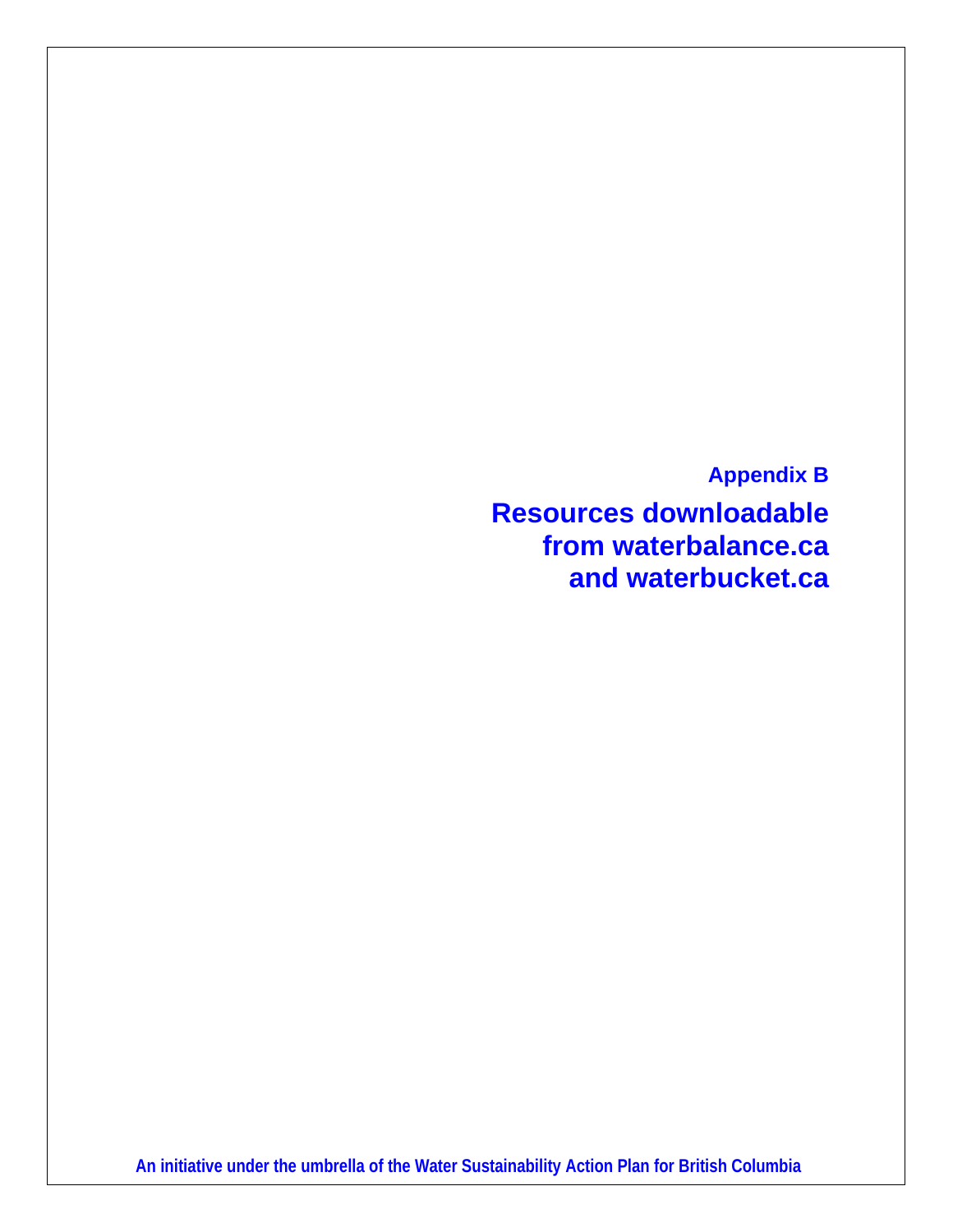**Appendix B Resources downloadable from waterbalance.ca and waterbucket.ca**